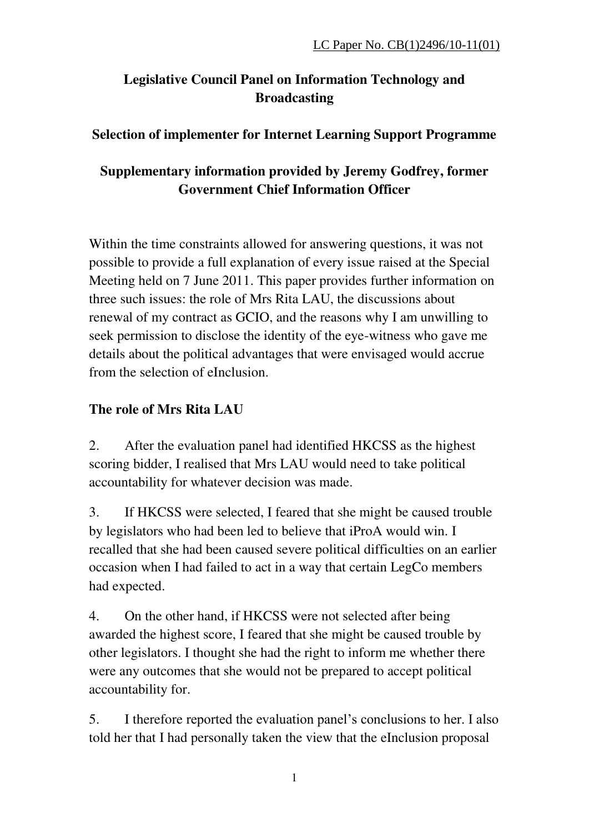# **Legislative Council Panel on Information Technology and Broadcasting**

#### **Selection of implementer for Internet Learning Support Programme**

## **Supplementary information provided by Jeremy Godfrey, former Government Chief Information Officer**

Within the time constraints allowed for answering questions, it was not possible to provide a full explanation of every issue raised at the Special Meeting held on 7 June 2011. This paper provides further information on three such issues: the role of Mrs Rita LAU, the discussions about renewal of my contract as GCIO, and the reasons why I am unwilling to seek permission to disclose the identity of the eye-witness who gave me details about the political advantages that were envisaged would accrue from the selection of eInclusion.

### **The role of Mrs Rita LAU**

2. After the evaluation panel had identified HKCSS as the highest scoring bidder, I realised that Mrs LAU would need to take political accountability for whatever decision was made.

3. If HKCSS were selected, I feared that she might be caused trouble by legislators who had been led to believe that iProA would win. I recalled that she had been caused severe political difficulties on an earlier occasion when I had failed to act in a way that certain LegCo members had expected.

4. On the other hand, if HKCSS were not selected after being awarded the highest score, I feared that she might be caused trouble by other legislators. I thought she had the right to inform me whether there were any outcomes that she would not be prepared to accept political accountability for.

5. I therefore reported the evaluation panel's conclusions to her. I also told her that I had personally taken the view that the eInclusion proposal

1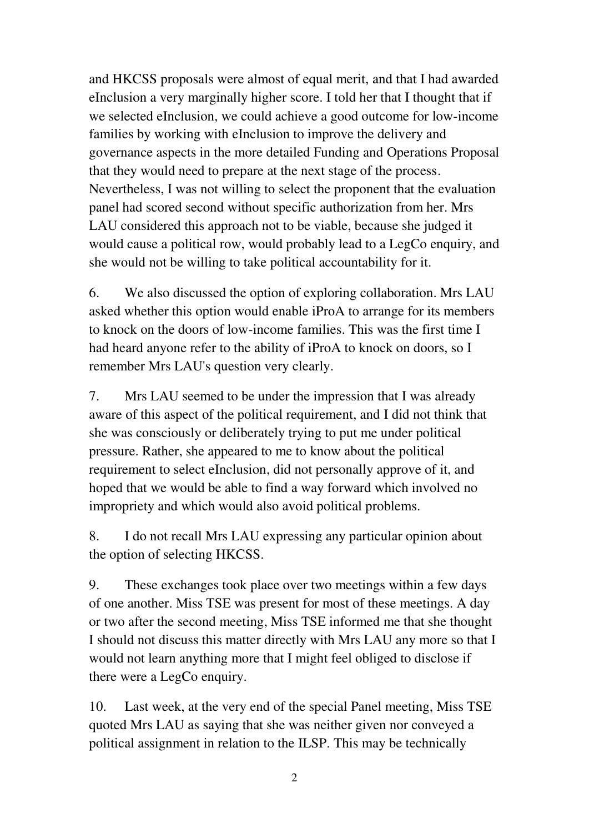and HKCSS proposals were almost of equal merit, and that I had awarded eInclusion a very marginally higher score. I told her that I thought that if we selected eInclusion, we could achieve a good outcome for low-income families by working with eInclusion to improve the delivery and governance aspects in the more detailed Funding and Operations Proposal that they would need to prepare at the next stage of the process. Nevertheless, I was not willing to select the proponent that the evaluation panel had scored second without specific authorization from her. Mrs LAU considered this approach not to be viable, because she judged it would cause a political row, would probably lead to a LegCo enquiry, and she would not be willing to take political accountability for it.

6. We also discussed the option of exploring collaboration. Mrs LAU asked whether this option would enable iProA to arrange for its members to knock on the doors of low-income families. This was the first time I had heard anyone refer to the ability of iProA to knock on doors, so I remember Mrs LAU's question very clearly.

7. Mrs LAU seemed to be under the impression that I was already aware of this aspect of the political requirement, and I did not think that she was consciously or deliberately trying to put me under political pressure. Rather, she appeared to me to know about the political requirement to select eInclusion, did not personally approve of it, and hoped that we would be able to find a way forward which involved no impropriety and which would also avoid political problems.

8. I do not recall Mrs LAU expressing any particular opinion about the option of selecting HKCSS.

9. These exchanges took place over two meetings within a few days of one another. Miss TSE was present for most of these meetings. A day or two after the second meeting, Miss TSE informed me that she thought I should not discuss this matter directly with Mrs LAU any more so that I would not learn anything more that I might feel obliged to disclose if there were a LegCo enquiry.

10. Last week, at the very end of the special Panel meeting, Miss TSE quoted Mrs LAU as saying that she was neither given nor conveyed a political assignment in relation to the ILSP. This may be technically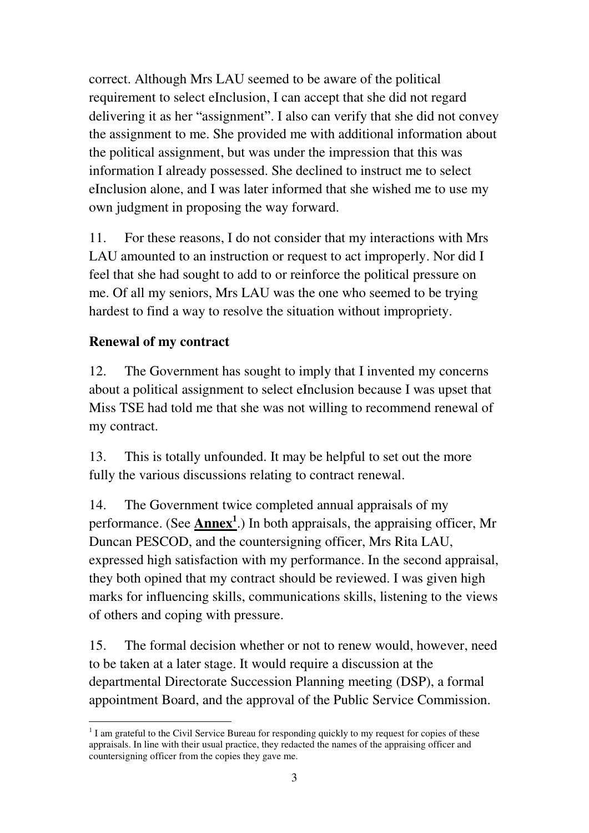correct. Although Mrs LAU seemed to be aware of the political requirement to select eInclusion, I can accept that she did not regard delivering it as her "assignment". I also can verify that she did not convey the assignment to me. She provided me with additional information about the political assignment, but was under the impression that this was information I already possessed. She declined to instruct me to select eInclusion alone, and I was later informed that she wished me to use my own judgment in proposing the way forward.

11. For these reasons, I do not consider that my interactions with Mrs LAU amounted to an instruction or request to act improperly. Nor did I feel that she had sought to add to or reinforce the political pressure on me. Of all my seniors, Mrs LAU was the one who seemed to be trying hardest to find a way to resolve the situation without impropriety.

#### **Renewal of my contract**

12. The Government has sought to imply that I invented my concerns about a political assignment to select eInclusion because I was upset that Miss TSE had told me that she was not willing to recommend renewal of my contract.

13. This is totally unfounded. It may be helpful to set out the more fully the various discussions relating to contract renewal.

14. The Government twice completed annual appraisals of my performance. (See **Annex<sup>1</sup>** .) In both appraisals, the appraising officer, Mr Duncan PESCOD, and the countersigning officer, Mrs Rita LAU, expressed high satisfaction with my performance. In the second appraisal, they both opined that my contract should be reviewed. I was given high marks for influencing skills, communications skills, listening to the views of others and coping with pressure.

15. The formal decision whether or not to renew would, however, need to be taken at a later stage. It would require a discussion at the departmental Directorate Succession Planning meeting (DSP), a formal appointment Board, and the approval of the Public Service Commission.

<sup>-</sup><sup>1</sup> I am grateful to the Civil Service Bureau for responding quickly to my request for copies of these appraisals. In line with their usual practice, they redacted the names of the appraising officer and countersigning officer from the copies they gave me.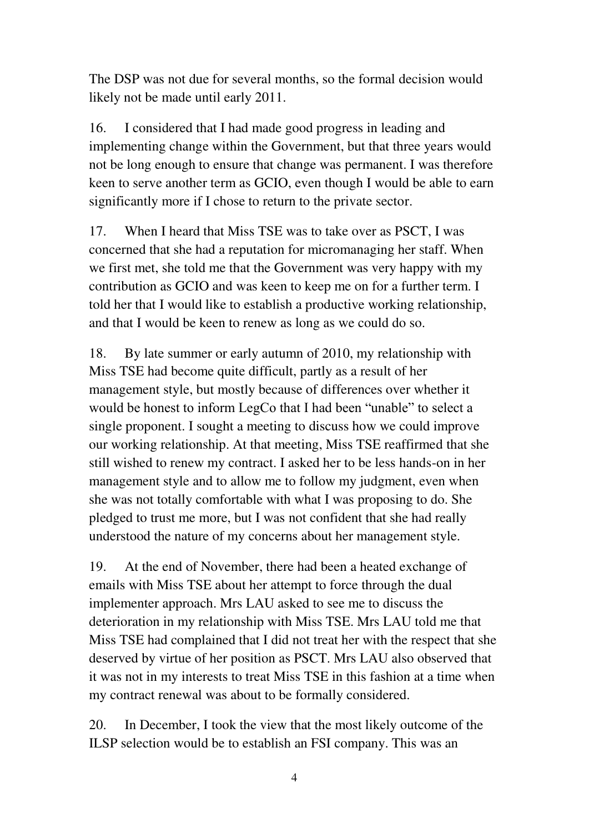The DSP was not due for several months, so the formal decision would likely not be made until early 2011.

16. I considered that I had made good progress in leading and implementing change within the Government, but that three years would not be long enough to ensure that change was permanent. I was therefore keen to serve another term as GCIO, even though I would be able to earn significantly more if I chose to return to the private sector.

17. When I heard that Miss TSE was to take over as PSCT, I was concerned that she had a reputation for micromanaging her staff. When we first met, she told me that the Government was very happy with my contribution as GCIO and was keen to keep me on for a further term. I told her that I would like to establish a productive working relationship, and that I would be keen to renew as long as we could do so.

18. By late summer or early autumn of 2010, my relationship with Miss TSE had become quite difficult, partly as a result of her management style, but mostly because of differences over whether it would be honest to inform LegCo that I had been "unable" to select a single proponent. I sought a meeting to discuss how we could improve our working relationship. At that meeting, Miss TSE reaffirmed that she still wished to renew my contract. I asked her to be less hands-on in her management style and to allow me to follow my judgment, even when she was not totally comfortable with what I was proposing to do. She pledged to trust me more, but I was not confident that she had really understood the nature of my concerns about her management style.

19. At the end of November, there had been a heated exchange of emails with Miss TSE about her attempt to force through the dual implementer approach. Mrs LAU asked to see me to discuss the deterioration in my relationship with Miss TSE. Mrs LAU told me that Miss TSE had complained that I did not treat her with the respect that she deserved by virtue of her position as PSCT. Mrs LAU also observed that it was not in my interests to treat Miss TSE in this fashion at a time when my contract renewal was about to be formally considered.

20. In December, I took the view that the most likely outcome of the ILSP selection would be to establish an FSI company. This was an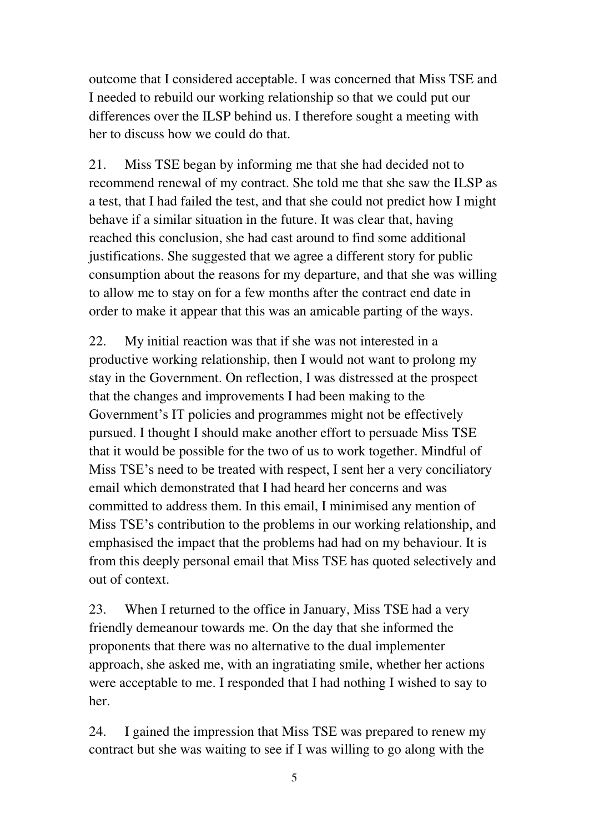outcome that I considered acceptable. I was concerned that Miss TSE and I needed to rebuild our working relationship so that we could put our differences over the ILSP behind us. I therefore sought a meeting with her to discuss how we could do that.

21. Miss TSE began by informing me that she had decided not to recommend renewal of my contract. She told me that she saw the ILSP as a test, that I had failed the test, and that she could not predict how I might behave if a similar situation in the future. It was clear that, having reached this conclusion, she had cast around to find some additional justifications. She suggested that we agree a different story for public consumption about the reasons for my departure, and that she was willing to allow me to stay on for a few months after the contract end date in order to make it appear that this was an amicable parting of the ways.

22. My initial reaction was that if she was not interested in a productive working relationship, then I would not want to prolong my stay in the Government. On reflection, I was distressed at the prospect that the changes and improvements I had been making to the Government's IT policies and programmes might not be effectively pursued. I thought I should make another effort to persuade Miss TSE that it would be possible for the two of us to work together. Mindful of Miss TSE's need to be treated with respect, I sent her a very conciliatory email which demonstrated that I had heard her concerns and was committed to address them. In this email, I minimised any mention of Miss TSE's contribution to the problems in our working relationship, and emphasised the impact that the problems had had on my behaviour. It is from this deeply personal email that Miss TSE has quoted selectively and out of context.

23. When I returned to the office in January, Miss TSE had a very friendly demeanour towards me. On the day that she informed the proponents that there was no alternative to the dual implementer approach, she asked me, with an ingratiating smile, whether her actions were acceptable to me. I responded that I had nothing I wished to say to her.

24. I gained the impression that Miss TSE was prepared to renew my contract but she was waiting to see if I was willing to go along with the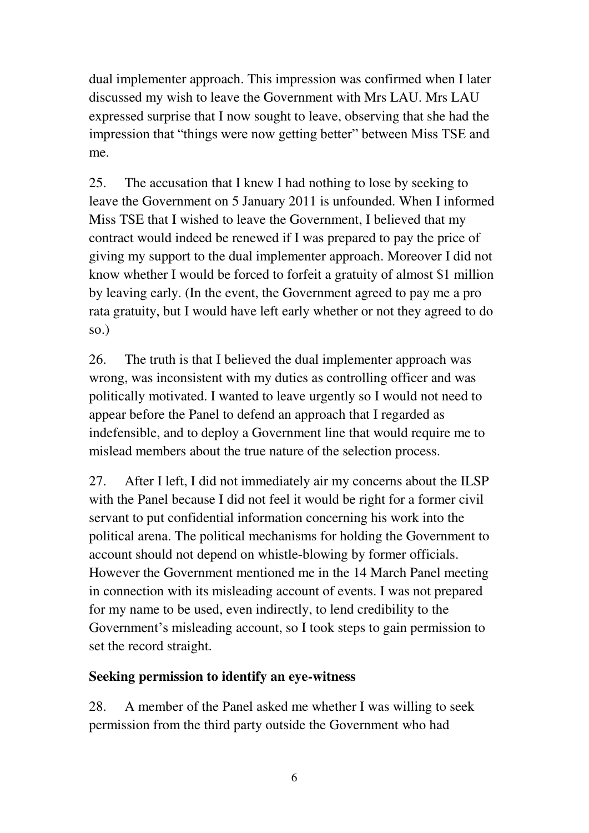dual implementer approach. This impression was confirmed when I later discussed my wish to leave the Government with Mrs LAU. Mrs LAU expressed surprise that I now sought to leave, observing that she had the impression that "things were now getting better" between Miss TSE and me.

25. The accusation that I knew I had nothing to lose by seeking to leave the Government on 5 January 2011 is unfounded. When I informed Miss TSE that I wished to leave the Government, I believed that my contract would indeed be renewed if I was prepared to pay the price of giving my support to the dual implementer approach. Moreover I did not know whether I would be forced to forfeit a gratuity of almost \$1 million by leaving early. (In the event, the Government agreed to pay me a pro rata gratuity, but I would have left early whether or not they agreed to do so.)

26. The truth is that I believed the dual implementer approach was wrong, was inconsistent with my duties as controlling officer and was politically motivated. I wanted to leave urgently so I would not need to appear before the Panel to defend an approach that I regarded as indefensible, and to deploy a Government line that would require me to mislead members about the true nature of the selection process.

27. After I left, I did not immediately air my concerns about the ILSP with the Panel because I did not feel it would be right for a former civil servant to put confidential information concerning his work into the political arena. The political mechanisms for holding the Government to account should not depend on whistle-blowing by former officials. However the Government mentioned me in the 14 March Panel meeting in connection with its misleading account of events. I was not prepared for my name to be used, even indirectly, to lend credibility to the Government's misleading account, so I took steps to gain permission to set the record straight.

#### **Seeking permission to identify an eye-witness**

28. A member of the Panel asked me whether I was willing to seek permission from the third party outside the Government who had